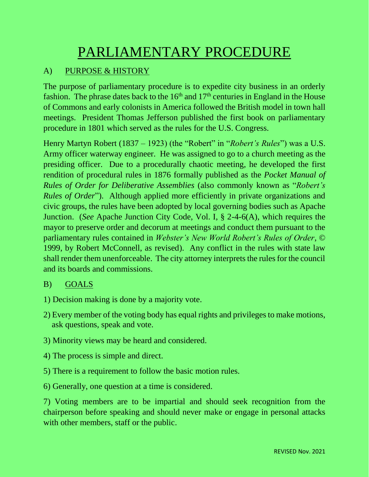# PARLIAMENTARY PROCEDURE

# A) PURPOSE & HISTORY

The purpose of parliamentary procedure is to expedite city business in an orderly fashion. The phrase dates back to the  $16<sup>th</sup>$  and  $17<sup>th</sup>$  centuries in England in the House of Commons and early colonists in America followed the British model in town hall meetings. President Thomas Jefferson published the first book on parliamentary procedure in 1801 which served as the rules for the U.S. Congress.

Henry Martyn Robert (1837 – 1923) (the "Robert" in "*Robert's Rules*") was a U.S. Army officer waterway engineer. He was assigned to go to a church meeting as the presiding officer. Due to a procedurally chaotic meeting, he developed the first rendition of procedural rules in 1876 formally published as the *Pocket Manual of Rules of Order for Deliberative Assemblies* (also commonly known as "*Robert's Rules of Order*"). Although applied more efficiently in private organizations and civic groups, the rules have been adopted by local governing bodies such as Apache Junction. (*See* Apache Junction City Code, Vol. I, § 2-4-6(A), which requires the mayor to preserve order and decorum at meetings and conduct them pursuant to the parliamentary rules contained in *Webster's New World Robert's Rules of Order*, © 1999, by Robert McConnell, as revised). Any conflict in the rules with state law shall render them unenforceable. The city attorney interprets the rules for the council and its boards and commissions.

#### B) GOALS

- 1) Decision making is done by a majority vote.
- 2) Every member of the voting body has equal rights and privileges to make motions, ask questions, speak and vote.
- 3) Minority views may be heard and considered.
- 4) The process is simple and direct.
- 5) There is a requirement to follow the basic motion rules.
- 6) Generally, one question at a time is considered.

7) Voting members are to be impartial and should seek recognition from the chairperson before speaking and should never make or engage in personal attacks with other members, staff or the public.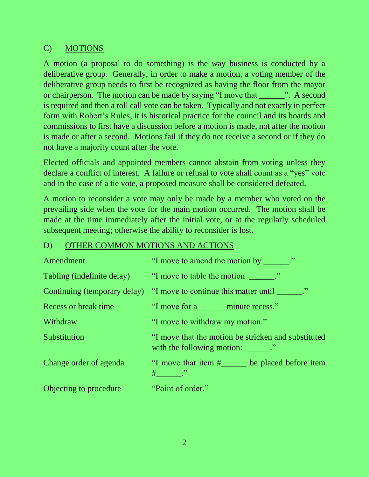## C) MOTIONS

A motion (a proposal to do something) is the way business is conducted by a deliberative group. Generally, in order to make a motion, a voting member of the deliberative group needs to first be recognized as having the floor from the mayor or chairperson. The motion can be made by saying "I move that \_\_\_\_\_\_". A second is required and then a roll call vote can be taken. Typically and not exactly in perfect form with Robert's Rules, it is historical practice for the council and its boards and commissions to first have a discussion before a motion is made, not after the motion is made or after a second. Motions fail if they do not receive a second or if they do not have a majority count after the vote.

Elected officials and appointed members cannot abstain from voting unless they declare a conflict of interest. A failure or refusal to vote shall count as a "yes" vote and in the case of a tie vote, a proposed measure shall be considered defeated.

A motion to reconsider a vote may only be made by a member who voted on the prevailing side when the vote for the main motion occurred. The motion shall be made at the time immediately after the initial vote, or at the regularly scheduled subsequent meeting; otherwise the ability to reconsider is lost.

#### D) OTHER COMMON MOTIONS AND ACTIONS

| Amendment              | "I move to amend the motion by ______."                                                                                                                                                                                                                                                                                                                                                                                                                          |
|------------------------|------------------------------------------------------------------------------------------------------------------------------------------------------------------------------------------------------------------------------------------------------------------------------------------------------------------------------------------------------------------------------------------------------------------------------------------------------------------|
|                        | Tabling (indefinite delay) "I move to table the motion _______."                                                                                                                                                                                                                                                                                                                                                                                                 |
|                        | Continuing (temporary delay) "I move to continue this matter until ______."                                                                                                                                                                                                                                                                                                                                                                                      |
| Recess or break time   | "I move for a <u>_____</u> minute recess."                                                                                                                                                                                                                                                                                                                                                                                                                       |
| Withdraw               | "I move to withdraw my motion."                                                                                                                                                                                                                                                                                                                                                                                                                                  |
| Substitution           | "I move that the motion be stricken and substituted<br>with the following motion: $\frac{1}{\sqrt{1-\frac{1}{\sqrt{1-\frac{1}{\sqrt{1-\frac{1}{\sqrt{1-\frac{1}{\sqrt{1-\frac{1}{\sqrt{1-\frac{1}{\sqrt{1-\frac{1}{\sqrt{1-\frac{1}{\sqrt{1-\frac{1}{\sqrt{1-\frac{1}{\sqrt{1-\frac{1}{\sqrt{1-\frac{1}{\sqrt{1-\frac{1}{\sqrt{1-\frac{1}{\sqrt{1-\frac{1}{\sqrt{1-\frac{1}{\sqrt{1-\frac{1}{\sqrt{1-\frac{1}{\sqrt{1-\frac{1}{\sqrt{1-\frac{1}{\sqrt{1-\frac{1$ |
| Change order of agenda | "I move that item #_____ be placed before item<br>$\#$ . $\cdot$                                                                                                                                                                                                                                                                                                                                                                                                 |
| Objecting to procedure | "Point of order."                                                                                                                                                                                                                                                                                                                                                                                                                                                |